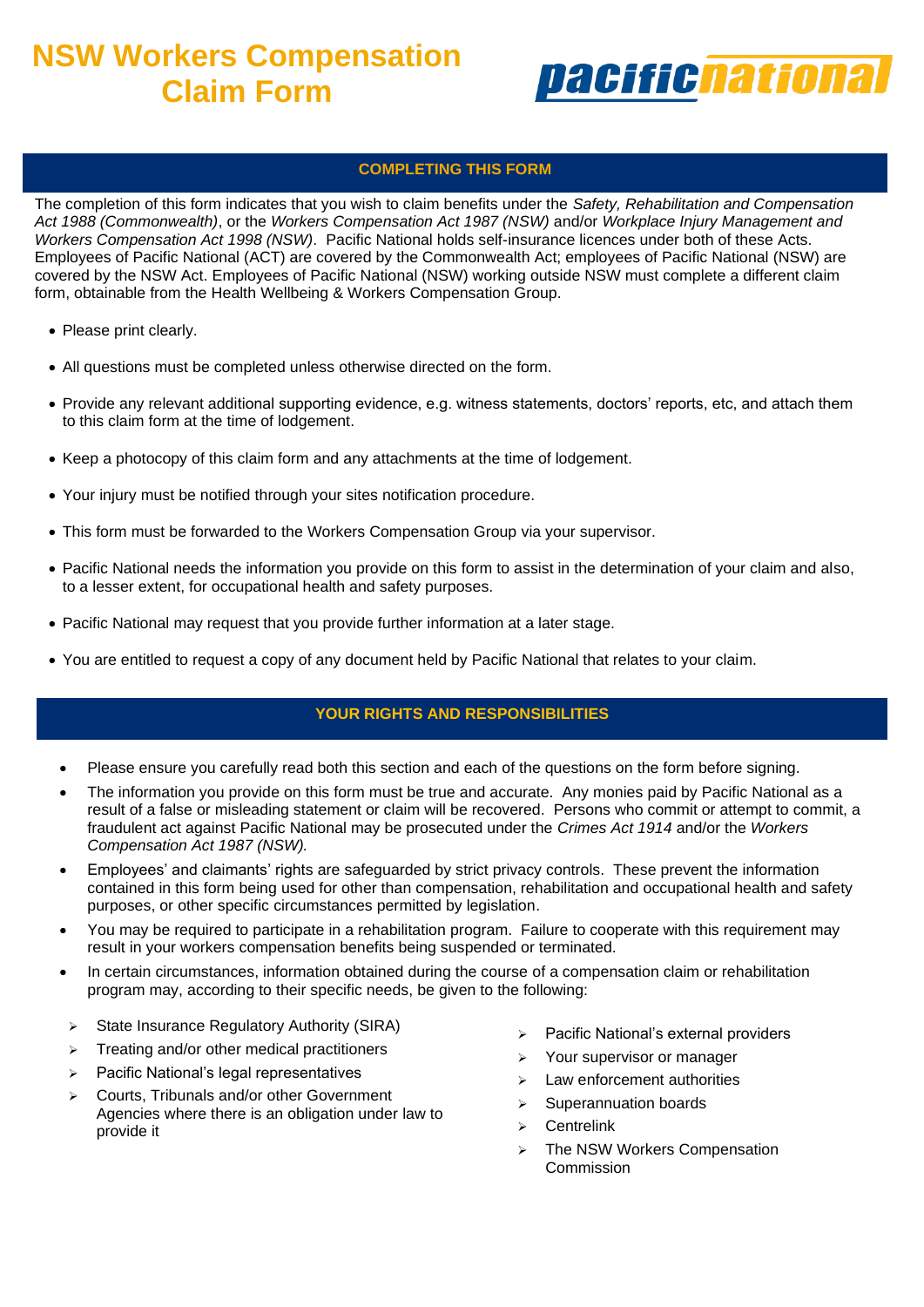# **NSW Workers Compensation Claim Form**



## **COMPLETING THIS FORM**

The completion of this form indicates that you wish to claim benefits under the *Safety, Rehabilitation and Compensation Act 1988 (Commonwealth)*, or the *Workers Compensation Act 1987 (NSW)* and/or *Workplace Injury Management and Workers Compensation Act 1998 (NSW)*. Pacific National holds self-insurance licences under both of these Acts. Employees of Pacific National (ACT) are covered by the Commonwealth Act; employees of Pacific National (NSW) are covered by the NSW Act. Employees of Pacific National (NSW) working outside NSW must complete a different claim form, obtainable from the Health Wellbeing & Workers Compensation Group.

- Please print clearly.
- All questions must be completed unless otherwise directed on the form.
- Provide any relevant additional supporting evidence, e.g. witness statements, doctors' reports, etc, and attach them to this claim form at the time of lodgement.
- Keep a photocopy of this claim form and any attachments at the time of lodgement.
- Your injury must be notified through your sites notification procedure.
- This form must be forwarded to the Workers Compensation Group via your supervisor.
- Pacific National needs the information you provide on this form to assist in the determination of your claim and also, to a lesser extent, for occupational health and safety purposes.
- Pacific National may request that you provide further information at a later stage.
- You are entitled to request a copy of any document held by Pacific National that relates to your claim.

### **YOUR RIGHTS AND RESPONSIBILITIES**

- Please ensure you carefully read both this section and each of the questions on the form before signing.
- The information you provide on this form must be true and accurate. Any monies paid by Pacific National as a result of a false or misleading statement or claim will be recovered. Persons who commit or attempt to commit, a ➢ Your supervisor or Rehabilitation Delegate may provide advice, but may not complete the form on your behalf. *Compensation Act 1987 (NSW).* fraudulent act against Pacific National may be prosecuted under the *Crimes Act 1914* and/or the *Workers*
- Employees' and claimants' rights are safeguarded by strict privacy controls. These prevent the information contained in this form being used for other than compensation, rehabilitation and occupational health and safety purposes, or other specific circumstances permitted by legislation.
- You may be required to participate in a rehabilitation program. Failure to cooperate with this requirement may result in your workers compensation benefits being suspended or terminated.
- In certain circumstances, information obtained during the course of a compensation claim or rehabilitation program may, according to their specific needs, be given to the following:
- ➢ State Insurance Regulatory Authority (SIRA)
- ➢ Treating and/or other medical practitioners
- ➢ Pacific National's legal representatives
- ➢ Courts, Tribunals and/or other Government Agencies where there is an obligation under law to provide it
- ➢ Pacific National's external providers
- ➢ Your supervisor or manager
- Law enforcement authorities
- ➢ Superannuation boards
- ➢ Centrelink
- ➢ The NSW Workers Compensation Commission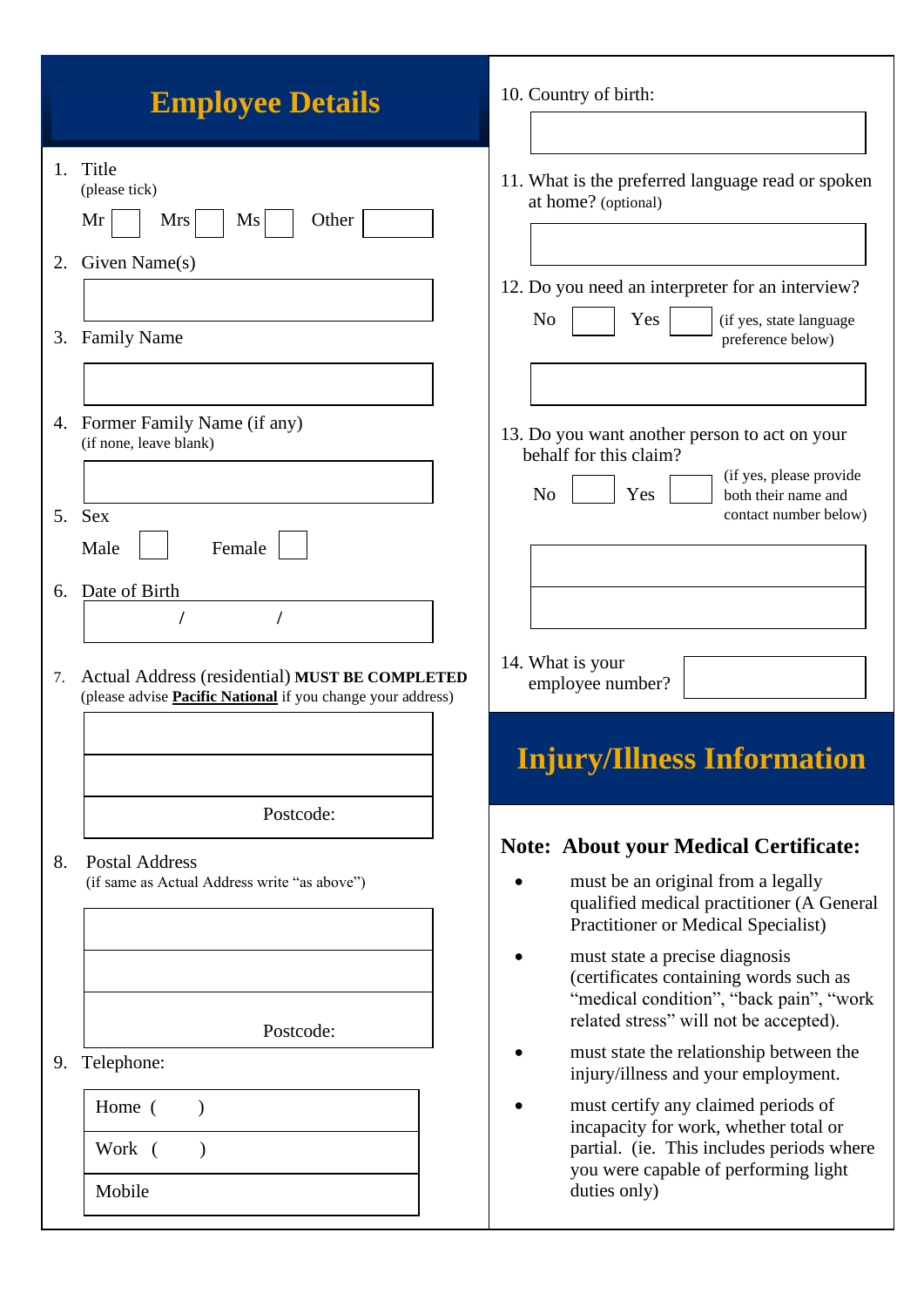| <b>Employee Details</b>                                                                                                    | 10. Country of birth:                                                                                                                                                  |
|----------------------------------------------------------------------------------------------------------------------------|------------------------------------------------------------------------------------------------------------------------------------------------------------------------|
| Title<br>1.<br>(please tick)<br>Mr<br>Other<br>Mrs<br>Ms                                                                   | 11. What is the preferred language read or spoken<br>at home? (optional)                                                                                               |
| Given Name(s)<br>2.                                                                                                        | 12. Do you need an interpreter for an interview?                                                                                                                       |
| <b>Family Name</b><br>3.                                                                                                   | N <sub>o</sub><br>Yes<br>(if yes, state language<br>preference below)                                                                                                  |
| 4. Former Family Name (if any)<br>(if none, leave blank)                                                                   | 13. Do you want another person to act on your<br>behalf for this claim?<br>(if yes, please provide                                                                     |
| <b>Sex</b><br>5.<br>Female<br>Male                                                                                         | N <sub>o</sub><br>Yes<br>both their name and<br>contact number below)                                                                                                  |
| Date of Birth<br>6.                                                                                                        |                                                                                                                                                                        |
| Actual Address (residential) MUST BE COMPLETED<br>7.<br>(please advise <b>Pacific National</b> if you change your address) | 14. What is your<br>employee number?                                                                                                                                   |
| Postcode:                                                                                                                  | <b>Injury/Illness Information</b>                                                                                                                                      |
| <b>Postal Address</b><br>8.<br>(if same as Actual Address write "as above")                                                | <b>Note: About your Medical Certificate:</b><br>must be an original from a legally<br>qualified medical practitioner (A General<br>Practitioner or Medical Specialist) |
| Postcode:                                                                                                                  | must state a precise diagnosis<br>(certificates containing words such as<br>"medical condition", "back pain", "work<br>related stress" will not be accepted).          |
| Telephone:<br>9.                                                                                                           | must state the relationship between the<br>injury/illness and your employment.                                                                                         |
| Home (<br>$\lambda$<br>Work (<br>$\lambda$                                                                                 | must certify any claimed periods of<br>incapacity for work, whether total or<br>partial. (ie. This includes periods where                                              |
| Mobile                                                                                                                     | you were capable of performing light<br>duties only)                                                                                                                   |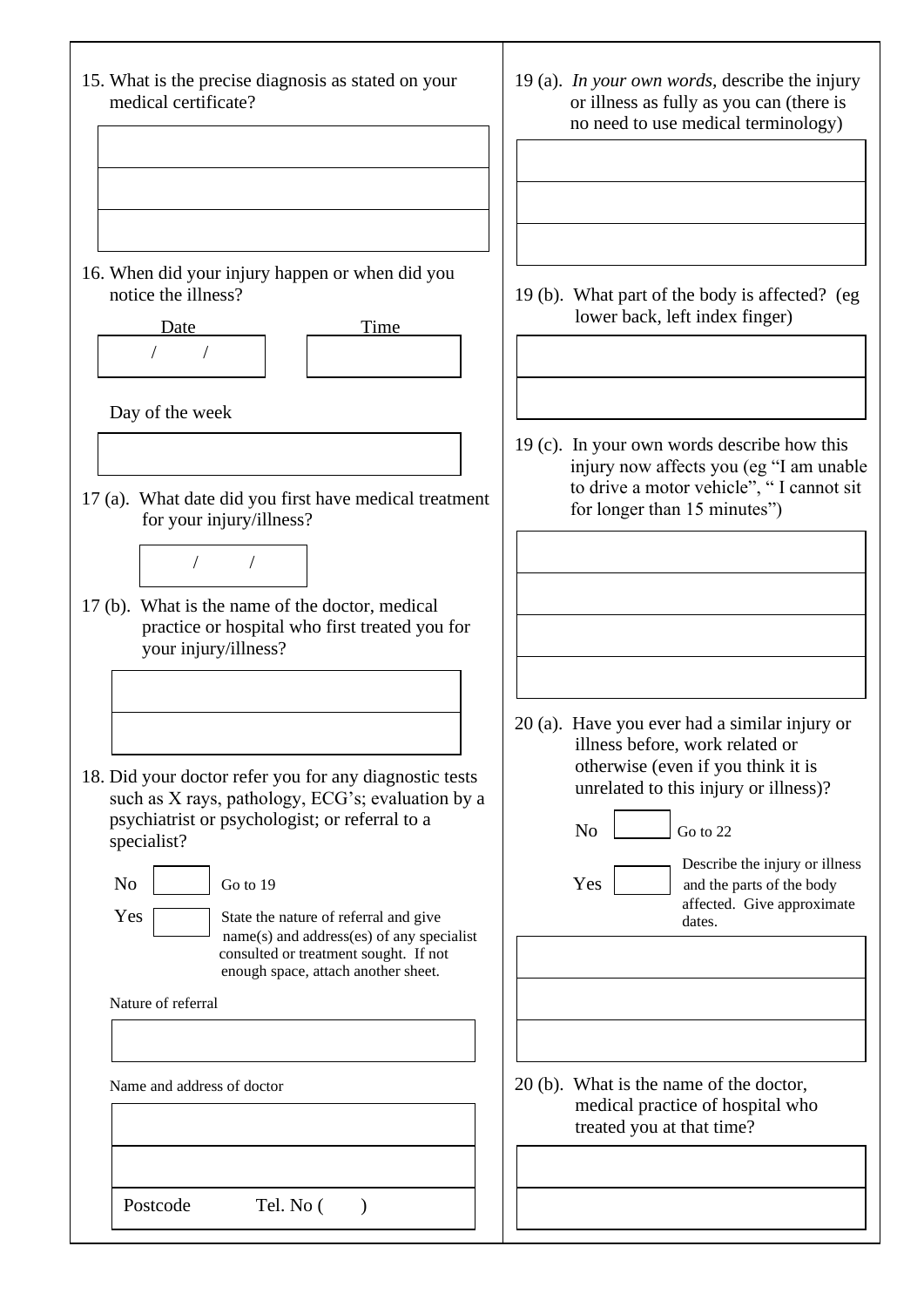15. What is the precise diagnosis as stated on your medical certificate? 16. When did your injury happen or when did you notice the illness? Date Time Day of the week 17 (a). What date did you first have medical treatment for your injury/illness? 17 (b). What is the name of the doctor, medical practice or hospital who first treated you for your injury/illness? 18. Did your doctor refer you for any diagnostic tests such as X rays, pathology, ECG's; evaluation by a psychiatrist or psychologist; or referral to a specialist?  $\overline{N_0}$   $\overline{S_0}$  to 19  $Yes \f{}$  State the nature of referral and give name(s) and address(es) of any specialist consulted or treatment sought. If not enough space, attach another sheet. Nature of referral Name and address of doctor / / / / Postcode Tel. No () 19 (a). *In your own words,* describe the injury or illness as fully as you can (there is no need to use medical terminology) 19 (b). What part of the body is affected? (eg lower back, left index finger) 19 (c). In your own words describe how this injury now affects you (eg "I am unable to drive a motor vehicle", " I cannot sit for longer than 15 minutes") 20 (a). Have you ever had a similar injury or illness before, work related or otherwise (even if you think it is unrelated to this injury or illness)?  $\text{No}$   $\qquad$   $\text{Go}$  to 22 Describe the injury or illness  $Yes \mid$  and the parts of the body affected. Give approximate dates. 20 (b). What is the name of the doctor, medical practice of hospital who treated you at that time?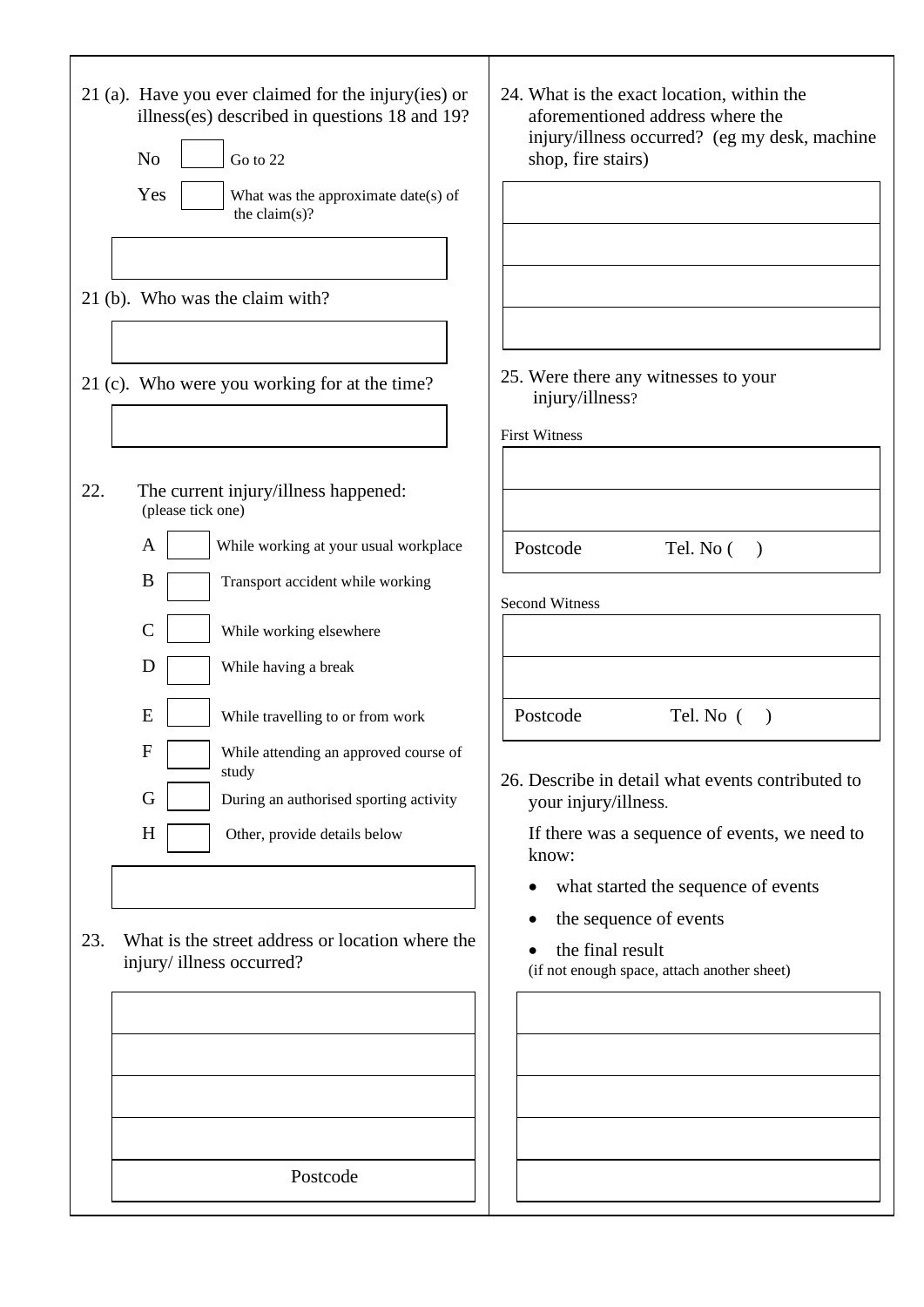|     | $21$ (a). Have you ever claimed for the injury (ies) or<br>illness(es) described in questions 18 and 19?<br>N <sub>o</sub><br>Go to 22<br>Yes<br>What was the approximate date(s) of<br>the claim $(s)$ ?<br>21 (b). Who was the claim with? | 24. What is the exact location, within the<br>aforementioned address where the<br>injury/illness occurred? (eg my desk, machine<br>shop, fire stairs) |
|-----|----------------------------------------------------------------------------------------------------------------------------------------------------------------------------------------------------------------------------------------------|-------------------------------------------------------------------------------------------------------------------------------------------------------|
|     | 21 (c). Who were you working for at the time?                                                                                                                                                                                                | 25. Were there any witnesses to your<br>injury/illness?<br><b>First Witness</b>                                                                       |
| 22. | The current injury/illness happened:<br>(please tick one)                                                                                                                                                                                    |                                                                                                                                                       |
|     | While working at your usual workplace<br>A<br>B<br>Transport accident while working                                                                                                                                                          | Postcode<br>Tel. No (<br>$\rightarrow$                                                                                                                |
|     | $\mathsf{C}$                                                                                                                                                                                                                                 | <b>Second Witness</b>                                                                                                                                 |
|     | While working elsewhere<br>D                                                                                                                                                                                                                 |                                                                                                                                                       |
|     | While having a break                                                                                                                                                                                                                         |                                                                                                                                                       |
|     | E<br>While travelling to or from work                                                                                                                                                                                                        | Postcode<br>Tel. No (<br>$\lambda$                                                                                                                    |
|     | F<br>While attending an approved course of<br>study<br>G<br>During an authorised sporting activity                                                                                                                                           | 26. Describe in detail what events contributed to                                                                                                     |
|     | H<br>Other, provide details below                                                                                                                                                                                                            | your injury/illness.<br>If there was a sequence of events, we need to                                                                                 |
|     |                                                                                                                                                                                                                                              | know:                                                                                                                                                 |
|     |                                                                                                                                                                                                                                              | what started the sequence of events                                                                                                                   |
| 23. | What is the street address or location where the                                                                                                                                                                                             | the sequence of events<br>the final result                                                                                                            |
|     | injury/illness occurred?                                                                                                                                                                                                                     | (if not enough space, attach another sheet)                                                                                                           |
|     |                                                                                                                                                                                                                                              |                                                                                                                                                       |
|     |                                                                                                                                                                                                                                              |                                                                                                                                                       |
|     |                                                                                                                                                                                                                                              |                                                                                                                                                       |
|     |                                                                                                                                                                                                                                              |                                                                                                                                                       |
|     |                                                                                                                                                                                                                                              |                                                                                                                                                       |
|     | Postcode                                                                                                                                                                                                                                     |                                                                                                                                                       |
|     |                                                                                                                                                                                                                                              |                                                                                                                                                       |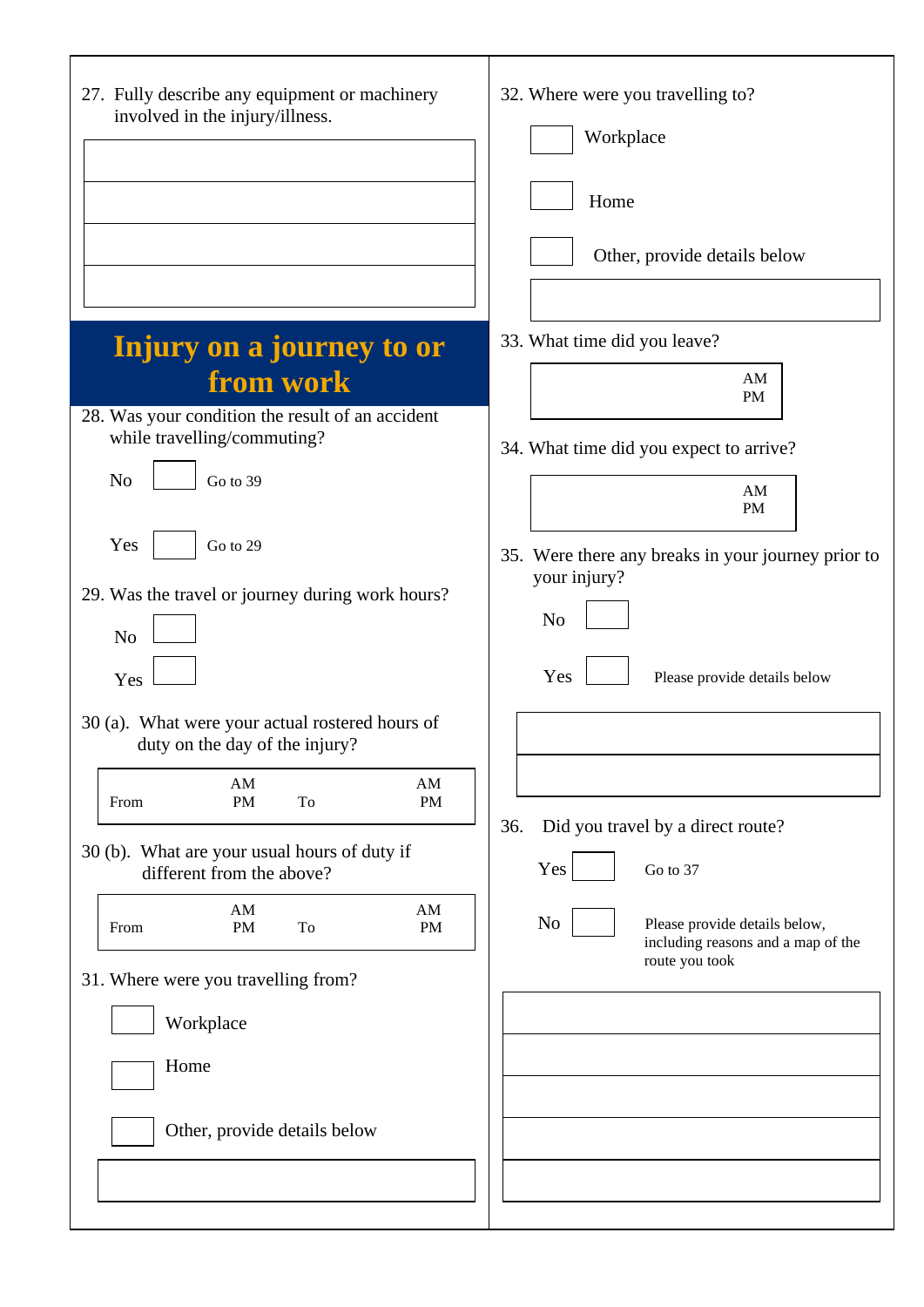| 27. Fully describe any equipment or machinery<br>involved in the injury/illness.  | 32. Where were you travelling to?<br>Workplace<br>Home<br>Other, provide details below |
|-----------------------------------------------------------------------------------|----------------------------------------------------------------------------------------|
| Injury on a journey to or                                                         | 33. What time did you leave?                                                           |
| from work                                                                         | AM                                                                                     |
| 28. Was your condition the result of an accident                                  | <b>PM</b>                                                                              |
| while travelling/commuting?                                                       | 34. What time did you expect to arrive?                                                |
| N <sub>o</sub><br>Go to 39                                                        | AM<br><b>PM</b>                                                                        |
| Yes<br>Go to 29                                                                   | 35. Were there any breaks in your journey prior to                                     |
| 29. Was the travel or journey during work hours?                                  | your injury?                                                                           |
|                                                                                   | N <sub>o</sub>                                                                         |
| N <sub>o</sub>                                                                    |                                                                                        |
| Yes                                                                               | Yes<br>Please provide details below                                                    |
| 30 (a). What were your actual rostered hours of<br>duty on the day of the injury? |                                                                                        |
| AM<br>AM<br><b>PM</b><br>To<br><b>PM</b><br>From                                  |                                                                                        |
|                                                                                   | Did you travel by a direct route?<br>36.                                               |
| 30 (b). What are your usual hours of duty if<br>different from the above?         | Yes<br>Go to 37                                                                        |
| AM<br>AM<br><b>PM</b><br>To<br>PM<br>From                                         | N <sub>0</sub><br>Please provide details below,<br>including reasons and a map of the  |
| 31. Where were you travelling from?                                               | route you took                                                                         |
| Workplace                                                                         |                                                                                        |
| Home                                                                              |                                                                                        |
|                                                                                   |                                                                                        |
| Other, provide details below                                                      |                                                                                        |
|                                                                                   |                                                                                        |
|                                                                                   |                                                                                        |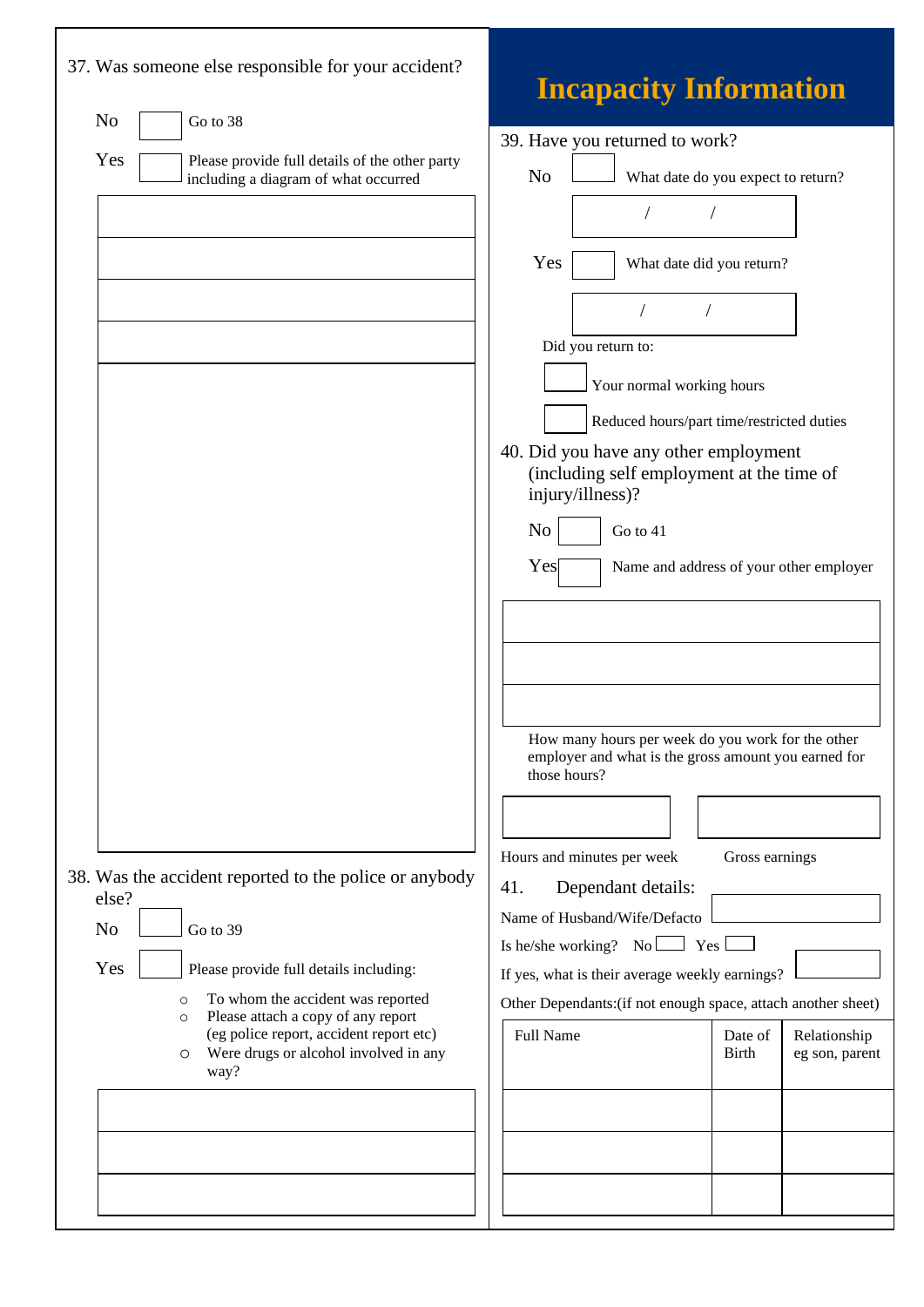| 37. Was someone else responsible for your accident?                                                                                                                                                                                                                                                                                                                                                                                                                | <b>Incapacity Information</b>                                                                                                                                                                                                                                                                                                                                                                                                                                                                                                                                                                                                                                                                                                                                                                                                                                                          |
|--------------------------------------------------------------------------------------------------------------------------------------------------------------------------------------------------------------------------------------------------------------------------------------------------------------------------------------------------------------------------------------------------------------------------------------------------------------------|----------------------------------------------------------------------------------------------------------------------------------------------------------------------------------------------------------------------------------------------------------------------------------------------------------------------------------------------------------------------------------------------------------------------------------------------------------------------------------------------------------------------------------------------------------------------------------------------------------------------------------------------------------------------------------------------------------------------------------------------------------------------------------------------------------------------------------------------------------------------------------------|
| N <sub>o</sub><br>Go to 38<br>Yes<br>Please provide full details of the other party<br>including a diagram of what occurred<br>38. Was the accident reported to the police or anybody<br>else?<br>N <sub>o</sub><br>Go to 39<br>Yes<br>Please provide full details including:<br>To whom the accident was reported<br>$\circ$<br>Please attach a copy of any report<br>$\circ$<br>(eg police report, accident report etc)<br>Were drugs or alcohol involved in any | 39. Have you returned to work?<br>N <sub>o</sub><br>What date do you expect to return?<br>Yes<br>What date did you return?<br>Did you return to:<br>Your normal working hours<br>Reduced hours/part time/restricted duties<br>40. Did you have any other employment<br>(including self employment at the time of<br>injury/illness)?<br>N <sub>o</sub><br>Go to 41<br>Yes<br>Name and address of your other employer<br>How many hours per week do you work for the other<br>employer and what is the gross amount you earned for<br>those hours?<br>Hours and minutes per week<br>Gross earnings<br>41.<br>Dependant details:<br>Name of Husband/Wife/Defacto<br>Is he/she working? No $\Box$ Yes l<br>If yes, what is their average weekly earnings?<br>Other Dependants: (if not enough space, attach another sheet)<br><b>Full Name</b><br>Relationship<br>Date of<br><b>Birth</b> |
| O<br>way?                                                                                                                                                                                                                                                                                                                                                                                                                                                          | eg son, parent                                                                                                                                                                                                                                                                                                                                                                                                                                                                                                                                                                                                                                                                                                                                                                                                                                                                         |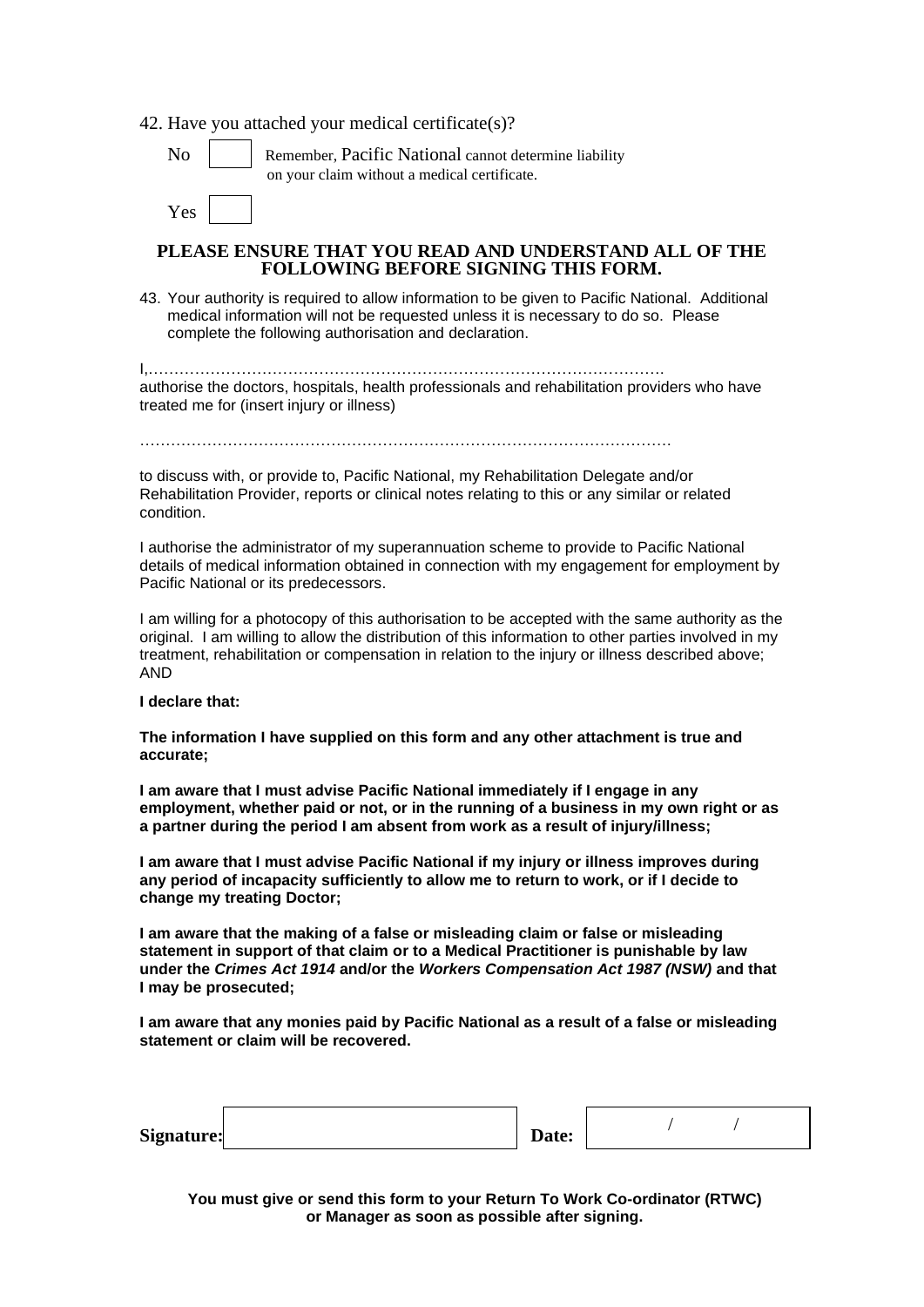42. Have you attached your medical certificate(s)?

Yes

Remember, Pacific National cannot determine liability on your claim without a medical certificate.

#### **PLEASE ENSURE THAT YOU READ AND UNDERSTAND ALL OF THE FOLLOWING BEFORE SIGNING THIS FORM.**

43. Your authority is required to allow information to be given to Pacific National. Additional medical information will not be requested unless it is necessary to do so. Please complete the following authorisation and declaration.

I,………………………………………………………………………………………. authorise the doctors, hospitals, health professionals and rehabilitation providers who have treated me for (insert injury or illness)

to discuss with, or provide to, Pacific National, my Rehabilitation Delegate and/or Rehabilitation Provider, reports or clinical notes relating to this or any similar or related condition.

I authorise the administrator of my superannuation scheme to provide to Pacific National details of medical information obtained in connection with my engagement for employment by Pacific National or its predecessors.

I am willing for a photocopy of this authorisation to be accepted with the same authority as the original. I am willing to allow the distribution of this information to other parties involved in my treatment, rehabilitation or compensation in relation to the injury or illness described above; AND

#### **I declare that:**

**The information I have supplied on this form and any other attachment is true and accurate;**

**I am aware that I must advise Pacific National immediately if I engage in any employment, whether paid or not, or in the running of a business in my own right or as a partner during the period I am absent from work as a result of injury/illness;**

**I am aware that I must advise Pacific National if my injury or illness improves during any period of incapacity sufficiently to allow me to return to work, or if I decide to change my treating Doctor;**

**I am aware that the making of a false or misleading claim or false or misleading statement in support of that claim or to a Medical Practitioner is punishable by law under the** *Crimes Act 1914* **and/or the** *Workers Compensation Act 1987 (NSW)* **and that I may be prosecuted;**

**I am aware that any monies paid by Pacific National as a result of a false or misleading statement or claim will be recovered.**

| Signature: | Date: |  |  |  |
|------------|-------|--|--|--|
|------------|-------|--|--|--|

**You must give or send this form to your Return To Work Co-ordinator (RTWC) or Manager as soon as possible after signing.**